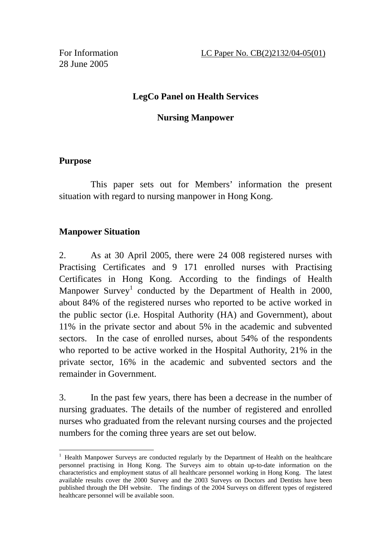## **LegCo Panel on Health Services**

### **Nursing Manpower**

## **Purpose**

 $\overline{a}$ 

 This paper sets out for Members' information the present situation with regard to nursing manpower in Hong Kong.

# **Manpower Situation**

2. As at 30 April 2005, there were 24 008 registered nurses with Practising Certificates and 9 171 enrolled nurses with Practising Certificates in Hong Kong. According to the findings of Health Manpower Survey<sup>1</sup> conducted by the Department of Health in 2000, about 84% of the registered nurses who reported to be active worked in the public sector (i.e. Hospital Authority (HA) and Government), about 11% in the private sector and about 5% in the academic and subvented sectors. In the case of enrolled nurses, about 54% of the respondents who reported to be active worked in the Hospital Authority, 21% in the private sector, 16% in the academic and subvented sectors and the remainder in Government.

3. In the past few years, there has been a decrease in the number of nursing graduates. The details of the number of registered and enrolled nurses who graduated from the relevant nursing courses and the projected numbers for the coming three years are set out below.

<sup>&</sup>lt;sup>1</sup> Health Manpower Surveys are conducted regularly by the Department of Health on the healthcare personnel practising in Hong Kong. The Surveys aim to obtain up-to-date information on the characteristics and employment status of all healthcare personnel working in Hong Kong. The latest available results cover the 2000 Survey and the 2003 Surveys on Doctors and Dentists have been published through the DH website. The findings of the 2004 Surveys on different types of registered healthcare personnel will be available soon.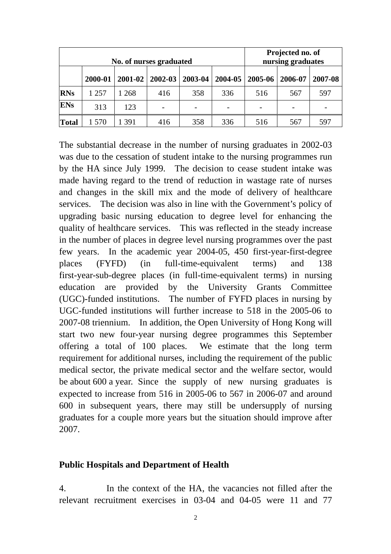| No. of nurses graduated |         |         |         |         |     | Projected no. of<br>nursing graduates |         |         |
|-------------------------|---------|---------|---------|---------|-----|---------------------------------------|---------|---------|
|                         | 2000-01 | 2001-02 | 2002-03 | 2003-04 |     | $2004 - 05 \mid 2005 - 06$            | 2006-07 | 2007-08 |
| <b>RNs</b>              | 1 2 5 7 | 268     | 416     | 358     | 336 | 516                                   | 567     | 597     |
| <b>ENs</b>              | 313     | 123     |         |         |     |                                       |         |         |
| Total                   | 570     | 391     | 416     | 358     | 336 | 516                                   | 567     | 597     |

The substantial decrease in the number of nursing graduates in 2002-03 was due to the cessation of student intake to the nursing programmes run by the HA since July 1999. The decision to cease student intake was made having regard to the trend of reduction in wastage rate of nurses and changes in the skill mix and the mode of delivery of healthcare services. The decision was also in line with the Government's policy of upgrading basic nursing education to degree level for enhancing the quality of healthcare services. This was reflected in the steady increase in the number of places in degree level nursing programmes over the past few years. In the academic year 2004-05, 450 first-year-first-degree places (FYFD) (in full-time-equivalent terms) and 138 first-year-sub-degree places (in full-time-equivalent terms) in nursing education are provided by the University Grants Committee (UGC)-funded institutions. The number of FYFD places in nursing by UGC-funded institutions will further increase to 518 in the 2005-06 to 2007-08 triennium. In addition, the Open University of Hong Kong will start two new four-year nursing degree programmes this September offering a total of 100 places. We estimate that the long term requirement for additional nurses, including the requirement of the public medical sector, the private medical sector and the welfare sector, would be about 600 a year. Since the supply of new nursing graduates is expected to increase from 516 in 2005-06 to 567 in 2006-07 and around 600 in subsequent years, there may still be undersupply of nursing graduates for a couple more years but the situation should improve after 2007.

#### **Public Hospitals and Department of Health**

4. In the context of the HA, the vacancies not filled after the relevant recruitment exercises in 03-04 and 04-05 were 11 and 77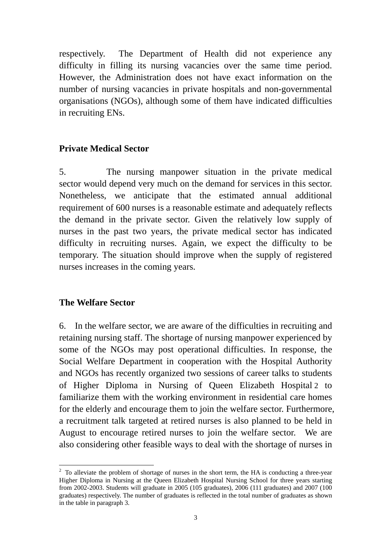respectively. The Department of Health did not experience any difficulty in filling its nursing vacancies over the same time period. However, the Administration does not have exact information on the number of nursing vacancies in private hospitals and non-governmental organisations (NGOs), although some of them have indicated difficulties in recruiting ENs.

### **Private Medical Sector**

5. The nursing manpower situation in the private medical sector would depend very much on the demand for services in this sector. Nonetheless, we anticipate that the estimated annual additional requirement of 600 nurses is a reasonable estimate and adequately reflects the demand in the private sector. Given the relatively low supply of nurses in the past two years, the private medical sector has indicated difficulty in recruiting nurses. Again, we expect the difficulty to be temporary. The situation should improve when the supply of registered nurses increases in the coming years.

#### **The Welfare Sector**

 $\overline{a}$ 

6. In the welfare sector, we are aware of the difficulties in recruiting and retaining nursing staff. The shortage of nursing manpower experienced by some of the NGOs may post operational difficulties. In response, the Social Welfare Department in cooperation with the Hospital Authority and NGOs has recently organized two sessions of career talks to students of Higher Diploma in Nursing of Queen Elizabeth Hospital 2 to familiarize them with the working environment in residential care homes for the elderly and encourage them to join the welfare sector. Furthermore, a recruitment talk targeted at retired nurses is also planned to be held in August to encourage retired nurses to join the welfare sector. We are also considering other feasible ways to deal with the shortage of nurses in

 $2^2$  To alleviate the problem of shortage of nurses in the short term, the HA is conducting a three-year Higher Diploma in Nursing at the Queen Elizabeth Hospital Nursing School for three years starting from 2002-2003. Students will graduate in 2005 (105 graduates), 2006 (111 graduates) and 2007 (100 graduates) respectively. The number of graduates is reflected in the total number of graduates as shown in the table in paragraph 3.